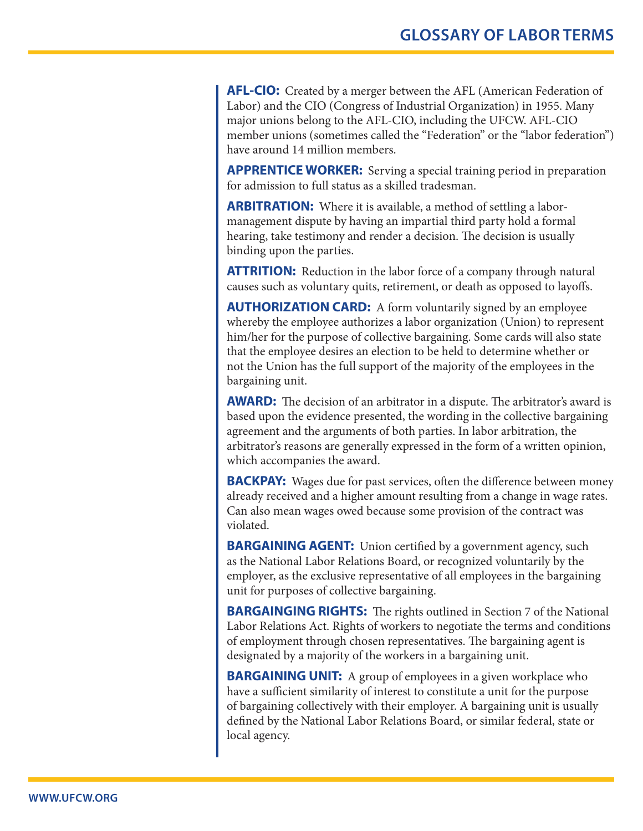**AFL-CIO:** Created by a merger between the AFL (American Federation of Labor) and the CIO (Congress of Industrial Organization) in 1955. Many major unions belong to the AFL-CIO, including the UFCW. AFL-CIO member unions (sometimes called the "Federation" or the "labor federation") have around 14 million members.

**APPRENTICE WORKER:** Serving a special training period in preparation for admission to full status as a skilled tradesman.

**ARBITRATION:** Where it is available, a method of settling a labormanagement dispute by having an impartial third party hold a formal hearing, take testimony and render a decision. The decision is usually binding upon the parties.

**ATTRITION:** Reduction in the labor force of a company through natural causes such as voluntary quits, retirement, or death as opposed to layoffs.

**AUTHORIZATION CARD:** A form voluntarily signed by an employee whereby the employee authorizes a labor organization (Union) to represent him/her for the purpose of collective bargaining. Some cards will also state that the employee desires an election to be held to determine whether or not the Union has the full support of the majority of the employees in the bargaining unit.

**AWARD:** The decision of an arbitrator in a dispute. The arbitrator's award is based upon the evidence presented, the wording in the collective bargaining agreement and the arguments of both parties. In labor arbitration, the arbitrator's reasons are generally expressed in the form of a written opinion, which accompanies the award.

**BACKPAY:** Wages due for past services, often the difference between money already received and a higher amount resulting from a change in wage rates. Can also mean wages owed because some provision of the contract was violated.

**BARGAINING AGENT:** Union certified by a government agency, such as the National Labor Relations Board, or recognized voluntarily by the employer, as the exclusive representative of all employees in the bargaining unit for purposes of collective bargaining.

**BARGAINGING RIGHTS:** The rights outlined in Section 7 of the National Labor Relations Act. Rights of workers to negotiate the terms and conditions of employment through chosen representatives. The bargaining agent is designated by a majority of the workers in a bargaining unit.

**BARGAINING UNIT:** A group of employees in a given workplace who have a sufficient similarity of interest to constitute a unit for the purpose of bargaining collectively with their employer. A bargaining unit is usually defined by the National Labor Relations Board, or similar federal, state or local agency.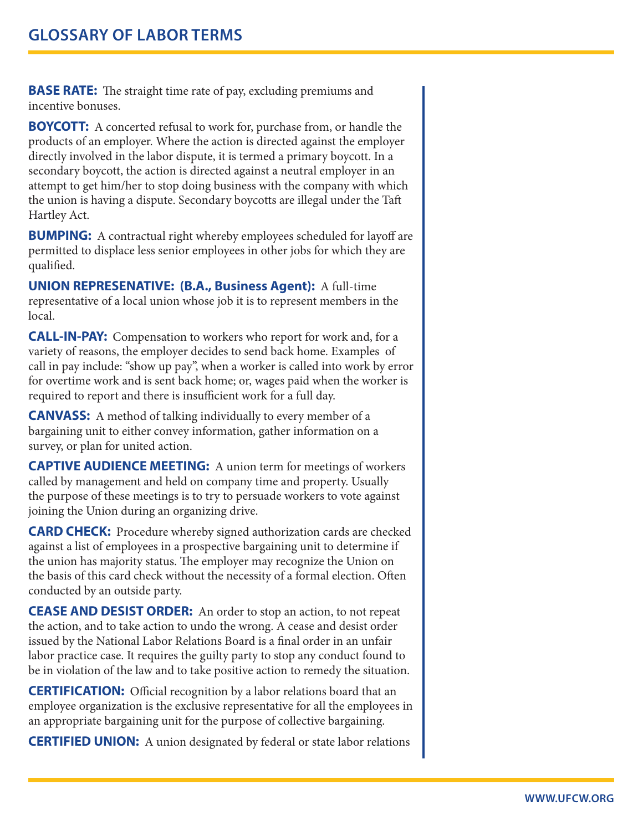**BASE RATE:** The straight time rate of pay, excluding premiums and incentive bonuses.

**BOYCOTT:** A concerted refusal to work for, purchase from, or handle the products of an employer. Where the action is directed against the employer directly involved in the labor dispute, it is termed a primary boycott. In a secondary boycott, the action is directed against a neutral employer in an attempt to get him/her to stop doing business with the company with which the union is having a dispute. Secondary boycotts are illegal under the Taft Hartley Act.

**BUMPING:** A contractual right whereby employees scheduled for layoff are permitted to displace less senior employees in other jobs for which they are qualified.

**UNION REPRESENATIVE: (B.A., Business Agent):** A full-time representative of a local union whose job it is to represent members in the local.

**CALL-IN-PAY:** Compensation to workers who report for work and, for a variety of reasons, the employer decides to send back home. Examples of call in pay include: "show up pay", when a worker is called into work by error for overtime work and is sent back home; or, wages paid when the worker is required to report and there is insufficient work for a full day.

**CANVASS:** A method of talking individually to every member of a bargaining unit to either convey information, gather information on a survey, or plan for united action.

**CAPTIVE AUDIENCE MEETING:** A union term for meetings of workers called by management and held on company time and property. Usually the purpose of these meetings is to try to persuade workers to vote against joining the Union during an organizing drive.

**CARD CHECK:** Procedure whereby signed authorization cards are checked against a list of employees in a prospective bargaining unit to determine if the union has majority status. The employer may recognize the Union on the basis of this card check without the necessity of a formal election. Often conducted by an outside party.

**CEASE AND DESIST ORDER:** An order to stop an action, to not repeat the action, and to take action to undo the wrong. A cease and desist order issued by the National Labor Relations Board is a final order in an unfair labor practice case. It requires the guilty party to stop any conduct found to be in violation of the law and to take positive action to remedy the situation.

**CERTIFICATION:** Official recognition by a labor relations board that an employee organization is the exclusive representative for all the employees in an appropriate bargaining unit for the purpose of collective bargaining.

**CERTIFIED UNION:** A union designated by federal or state labor relations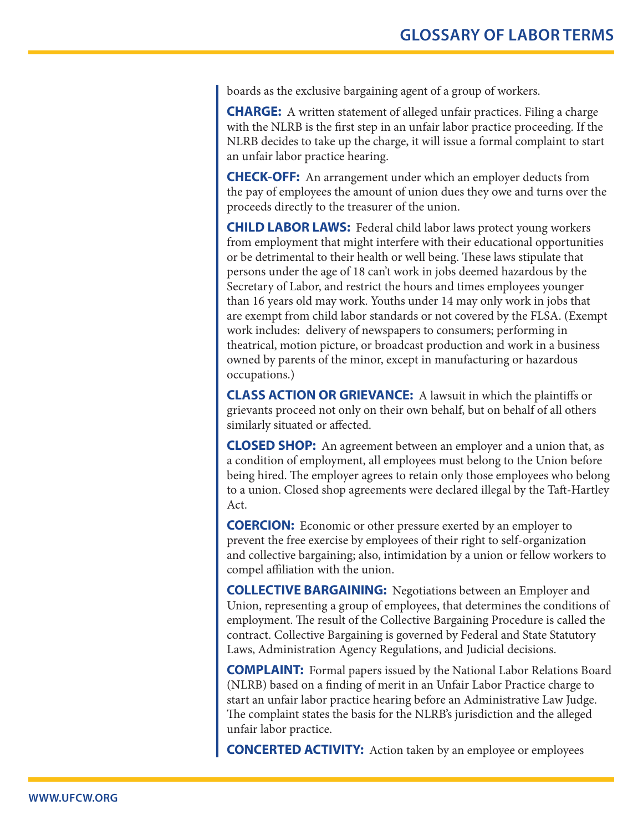boards as the exclusive bargaining agent of a group of workers.

**CHARGE:** A written statement of alleged unfair practices. Filing a charge with the NLRB is the first step in an unfair labor practice proceeding. If the NLRB decides to take up the charge, it will issue a formal complaint to start an unfair labor practice hearing.

**CHECK-OFF:** An arrangement under which an employer deducts from the pay of employees the amount of union dues they owe and turns over the proceeds directly to the treasurer of the union.

**CHILD LABOR LAWS:** Federal child labor laws protect young workers from employment that might interfere with their educational opportunities or be detrimental to their health or well being. These laws stipulate that persons under the age of 18 can't work in jobs deemed hazardous by the Secretary of Labor, and restrict the hours and times employees younger than 16 years old may work. Youths under 14 may only work in jobs that are exempt from child labor standards or not covered by the FLSA. (Exempt work includes: delivery of newspapers to consumers; performing in theatrical, motion picture, or broadcast production and work in a business owned by parents of the minor, except in manufacturing or hazardous occupations.)

**CLASS ACTION OR GRIEVANCE:** A lawsuit in which the plaintiffs or grievants proceed not only on their own behalf, but on behalf of all others similarly situated or affected.

**CLOSED SHOP:** An agreement between an employer and a union that, as a condition of employment, all employees must belong to the Union before being hired. The employer agrees to retain only those employees who belong to a union. Closed shop agreements were declared illegal by the Taft-Hartley Act.

**COERCION:** Economic or other pressure exerted by an employer to prevent the free exercise by employees of their right to self-organization and collective bargaining; also, intimidation by a union or fellow workers to compel affiliation with the union.

**COLLECTIVE BARGAINING:** Negotiations between an Employer and Union, representing a group of employees, that determines the conditions of employment. The result of the Collective Bargaining Procedure is called the contract. Collective Bargaining is governed by Federal and State Statutory Laws, Administration Agency Regulations, and Judicial decisions.

**COMPLAINT:** Formal papers issued by the National Labor Relations Board (NLRB) based on a finding of merit in an Unfair Labor Practice charge to start an unfair labor practice hearing before an Administrative Law Judge. The complaint states the basis for the NLRB's jurisdiction and the alleged unfair labor practice.

**CONCERTED ACTIVITY:** Action taken by an employee or employees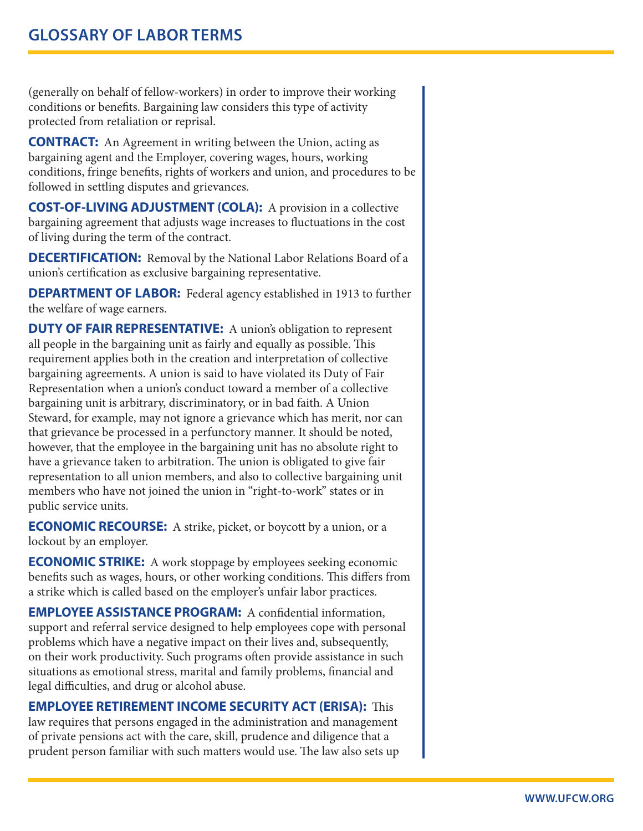(generally on behalf of fellow-workers) in order to improve their working conditions or benefits. Bargaining law considers this type of activity protected from retaliation or reprisal.

**CONTRACT:** An Agreement in writing between the Union, acting as bargaining agent and the Employer, covering wages, hours, working conditions, fringe benefits, rights of workers and union, and procedures to be followed in settling disputes and grievances.

**COST-OF-LIVING ADJUSTMENT (COLA):** A provision in a collective bargaining agreement that adjusts wage increases to fluctuations in the cost of living during the term of the contract.

**DECERTIFICATION:** Removal by the National Labor Relations Board of a union's certification as exclusive bargaining representative.

**DEPARTMENT OF LABOR:** Federal agency established in 1913 to further the welfare of wage earners.

**DUTY OF FAIR REPRESENTATIVE:** A union's obligation to represent all people in the bargaining unit as fairly and equally as possible. This requirement applies both in the creation and interpretation of collective bargaining agreements. A union is said to have violated its Duty of Fair Representation when a union's conduct toward a member of a collective bargaining unit is arbitrary, discriminatory, or in bad faith. A Union Steward, for example, may not ignore a grievance which has merit, nor can that grievance be processed in a perfunctory manner. It should be noted, however, that the employee in the bargaining unit has no absolute right to have a grievance taken to arbitration. The union is obligated to give fair representation to all union members, and also to collective bargaining unit members who have not joined the union in "right-to-work" states or in public service units.

**ECONOMIC RECOURSE:** A strike, picket, or boycott by a union, or a lockout by an employer.

**ECONOMIC STRIKE:** A work stoppage by employees seeking economic benefits such as wages, hours, or other working conditions. This differs from a strike which is called based on the employer's unfair labor practices.

**EMPLOYEE ASSISTANCE PROGRAM:** A confidential information, support and referral service designed to help employees cope with personal problems which have a negative impact on their lives and, subsequently, on their work productivity. Such programs often provide assistance in such situations as emotional stress, marital and family problems, financial and legal difficulties, and drug or alcohol abuse.

**EMPLOYEE RETIREMENT INCOME SECURITY ACT (ERISA):** This

law requires that persons engaged in the administration and management of private pensions act with the care, skill, prudence and diligence that a prudent person familiar with such matters would use. The law also sets up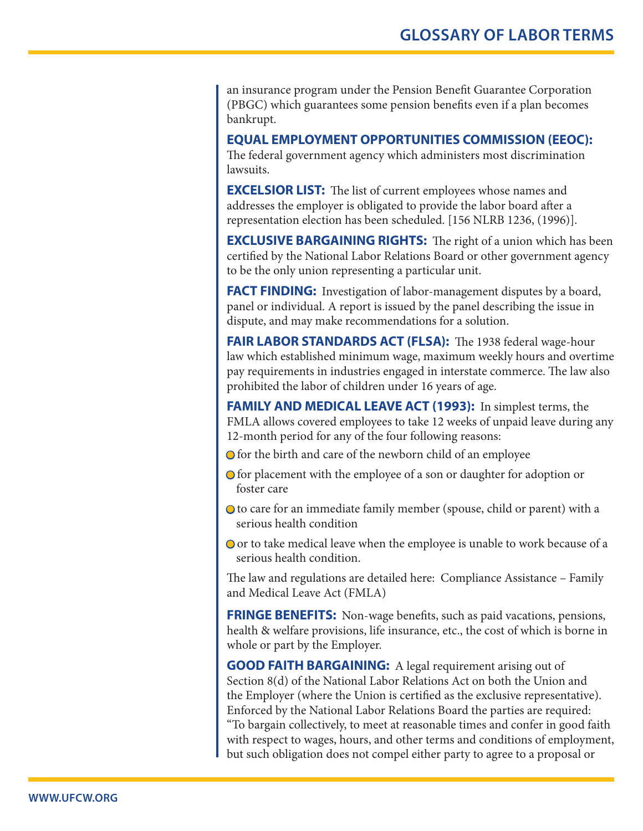an insurance program under the Pension Benefit Guarantee Corporation (PBGC) which guarantees some pension benefits even if a plan becomes bankrupt.

**EQUAL EMPLOYMENT OPPORTUNITIES COMMISSION (EEOC):** 

The federal government agency which administers most discrimination lawsuits.

**EXCELSIOR LIST:** The list of current employees whose names and addresses the employer is obligated to provide the labor board after a representation election has been scheduled. [156 NLRB 1236, (1996)].

**EXCLUSIVE BARGAINING RIGHTS:** The right of a union which has been certified by the National Labor Relations Board or other government agency to be the only union representing a particular unit.

**FACT FINDING:** Investigation of labor-management disputes by a board, panel or individual. A report is issued by the panel describing the issue in dispute, and may make recommendations for a solution.

**FAIR LABOR STANDARDS ACT (FLSA):** The 1938 federal wage-hour law which established minimum wage, maximum weekly hours and overtime pay requirements in industries engaged in interstate commerce. The law also prohibited the labor of children under 16 years of age.

**FAMILY AND MEDICAL LEAVE ACT (1993):** In simplest terms, the FMLA allows covered employees to take 12 weeks of unpaid leave during any 12-month period for any of the four following reasons:

- $\bigcirc$  for the birth and care of the newborn child of an employee
- **○** for placement with the employee of a son or daughter for adoption or foster care
- to care for an immediate family member (spouse, child or parent) with a serious health condition
- **○** or to take medical leave when the employee is unable to work because of a serious health condition.

The law and regulations are detailed here: Compliance Assistance – Family and Medical Leave Act (FMLA)

**FRINGE BENEFITS:** Non-wage benefits, such as paid vacations, pensions, health & welfare provisions, life insurance, etc., the cost of which is borne in whole or part by the Employer.

**GOOD FAITH BARGAINING:** A legal requirement arising out of Section 8(d) of the National Labor Relations Act on both the Union and the Employer (where the Union is certified as the exclusive representative). Enforced by the National Labor Relations Board the parties are required: "To bargain collectively, to meet at reasonable times and confer in good faith with respect to wages, hours, and other terms and conditions of employment, but such obligation does not compel either party to agree to a proposal or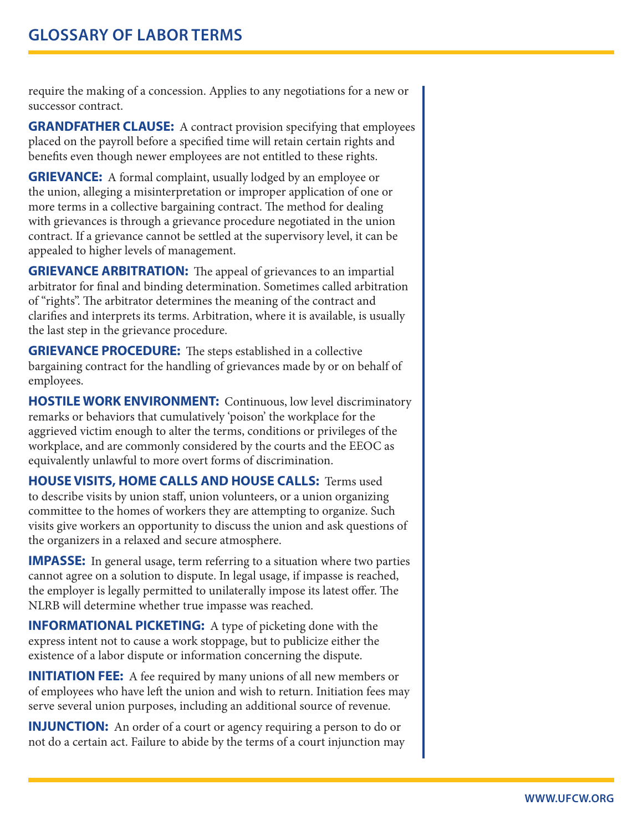require the making of a concession. Applies to any negotiations for a new or successor contract.

**GRANDFATHER CLAUSE:** A contract provision specifying that employees placed on the payroll before a specified time will retain certain rights and benefits even though newer employees are not entitled to these rights.

**GRIEVANCE:** A formal complaint, usually lodged by an employee or the union, alleging a misinterpretation or improper application of one or more terms in a collective bargaining contract. The method for dealing with grievances is through a grievance procedure negotiated in the union contract. If a grievance cannot be settled at the supervisory level, it can be appealed to higher levels of management.

**GRIEVANCE ARBITRATION:** The appeal of grievances to an impartial arbitrator for final and binding determination. Sometimes called arbitration of "rights". The arbitrator determines the meaning of the contract and clarifies and interprets its terms. Arbitration, where it is available, is usually the last step in the grievance procedure.

**GRIEVANCE PROCEDURE:** The steps established in a collective bargaining contract for the handling of grievances made by or on behalf of employees.

**HOSTILE WORK ENVIRONMENT:** Continuous, low level discriminatory remarks or behaviors that cumulatively 'poison' the workplace for the aggrieved victim enough to alter the terms, conditions or privileges of the workplace, and are commonly considered by the courts and the EEOC as equivalently unlawful to more overt forms of discrimination.

**HOUSE VISITS, HOME CALLS AND HOUSE CALLS:** Terms used to describe visits by union staff, union volunteers, or a union organizing committee to the homes of workers they are attempting to organize. Such visits give workers an opportunity to discuss the union and ask questions of the organizers in a relaxed and secure atmosphere.

**IMPASSE:** In general usage, term referring to a situation where two parties cannot agree on a solution to dispute. In legal usage, if impasse is reached, the employer is legally permitted to unilaterally impose its latest offer. The NLRB will determine whether true impasse was reached.

**INFORMATIONAL PICKETING:** A type of picketing done with the express intent not to cause a work stoppage, but to publicize either the existence of a labor dispute or information concerning the dispute.

**INITIATION FEE:** A fee required by many unions of all new members or of employees who have left the union and wish to return. Initiation fees may serve several union purposes, including an additional source of revenue.

**INJUNCTION:** An order of a court or agency requiring a person to do or not do a certain act. Failure to abide by the terms of a court injunction may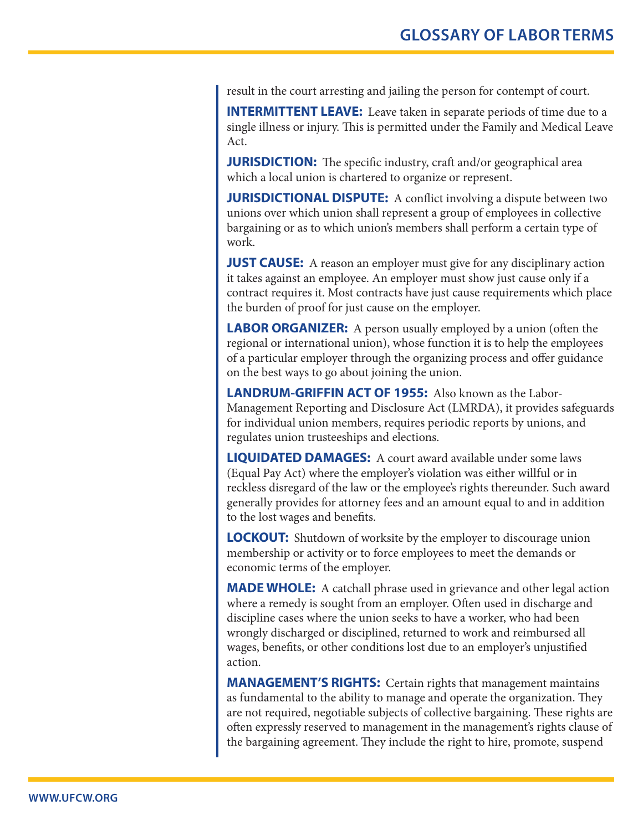result in the court arresting and jailing the person for contempt of court.

**INTERMITTENT LEAVE:** Leave taken in separate periods of time due to a single illness or injury. This is permitted under the Family and Medical Leave Act.

**JURISDICTION:** The specific industry, craft and/or geographical area which a local union is chartered to organize or represent.

**JURISDICTIONAL DISPUTE:** A conflict involving a dispute between two unions over which union shall represent a group of employees in collective bargaining or as to which union's members shall perform a certain type of work.

**JUST CAUSE:** A reason an employer must give for any disciplinary action it takes against an employee. An employer must show just cause only if a contract requires it. Most contracts have just cause requirements which place the burden of proof for just cause on the employer.

**LABOR ORGANIZER:** A person usually employed by a union (often the regional or international union), whose function it is to help the employees of a particular employer through the organizing process and offer guidance on the best ways to go about joining the union.

**LANDRUM-GRIFFIN ACT OF 1955:** Also known as the Labor-Management Reporting and Disclosure Act (LMRDA), it provides safeguards for individual union members, requires periodic reports by unions, and regulates union trusteeships and elections.

**LIQUIDATED DAMAGES:** A court award available under some laws (Equal Pay Act) where the employer's violation was either willful or in reckless disregard of the law or the employee's rights thereunder. Such award generally provides for attorney fees and an amount equal to and in addition to the lost wages and benefits.

**LOCKOUT:** Shutdown of worksite by the employer to discourage union membership or activity or to force employees to meet the demands or economic terms of the employer.

**MADE WHOLE:** A catchall phrase used in grievance and other legal action where a remedy is sought from an employer. Often used in discharge and discipline cases where the union seeks to have a worker, who had been wrongly discharged or disciplined, returned to work and reimbursed all wages, benefits, or other conditions lost due to an employer's unjustified action.

**MANAGEMENT'S RIGHTS:** Certain rights that management maintains as fundamental to the ability to manage and operate the organization. They are not required, negotiable subjects of collective bargaining. These rights are often expressly reserved to management in the management's rights clause of the bargaining agreement. They include the right to hire, promote, suspend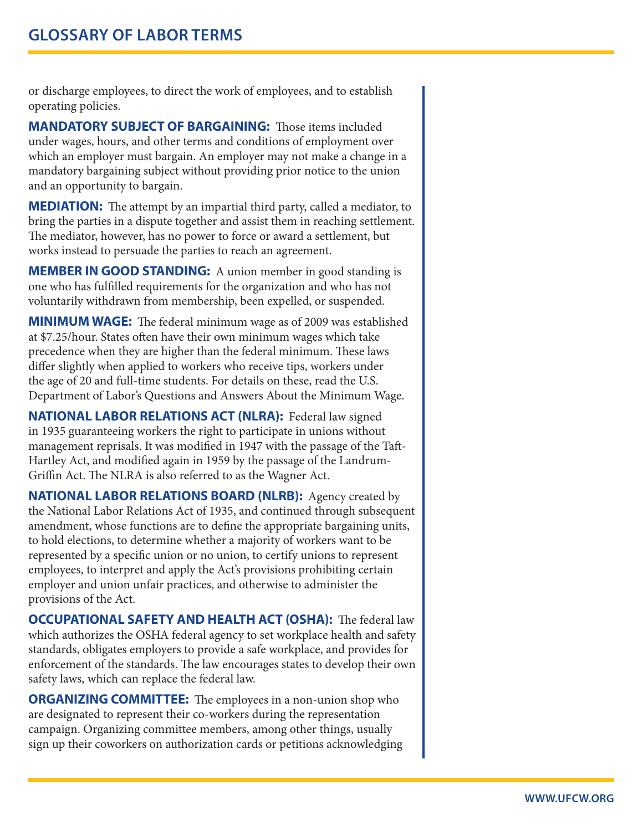or discharge employees, to direct the work of employees, and to establish operating policies.

**MANDATORY SUBJECT OF BARGAINING:** Those items included under wages, hours, and other terms and conditions of employment over which an employer must bargain. An employer may not make a change in a mandatory bargaining subject without providing prior notice to the union and an opportunity to bargain.

**MEDIATION:** The attempt by an impartial third party, called a mediator, to bring the parties in a dispute together and assist them in reaching settlement. The mediator, however, has no power to force or award a settlement, but works instead to persuade the parties to reach an agreement.

**MEMBER IN GOOD STANDING:** A union member in good standing is one who has fulfilled requirements for the organization and who has not voluntarily withdrawn from membership, been expelled, or suspended.

**MINIMUM WAGE:** The federal minimum wage as of 2009 was established at \$7.25/hour. States often have their own minimum wages which take precedence when they are higher than the federal minimum. These laws differ slightly when applied to workers who receive tips, workers under the age of 20 and full-time students. For details on these, read the U.S. Department of Labor's Questions and Answers About the Minimum Wage.

**NATIONAL LABOR RELATIONS ACT (NLRA):** Federal law signed in 1935 guaranteeing workers the right to participate in unions without management reprisals. It was modified in 1947 with the passage of the Taft-Hartley Act, and modified again in 1959 by the passage of the Landrum-Griffin Act. The NLRA is also referred to as the Wagner Act.

**NATIONAL LABOR RELATIONS BOARD (NLRB):** Agency created by the National Labor Relations Act of 1935, and continued through subsequent amendment, whose functions are to define the appropriate bargaining units, to hold elections, to determine whether a majority of workers want to be represented by a specific union or no union, to certify unions to represent employees, to interpret and apply the Act's provisions prohibiting certain employer and union unfair practices, and otherwise to administer the provisions of the Act.

**OCCUPATIONAL SAFETY AND HEALTH ACT (OSHA):** The federal law which authorizes the OSHA federal agency to set workplace health and safety standards, obligates employers to provide a safe workplace, and provides for enforcement of the standards. The law encourages states to develop their own safety laws, which can replace the federal law.

**ORGANIZING COMMITTEE:** The employees in a non-union shop who are designated to represent their co-workers during the representation campaign. Organizing committee members, among other things, usually sign up their coworkers on authorization cards or petitions acknowledging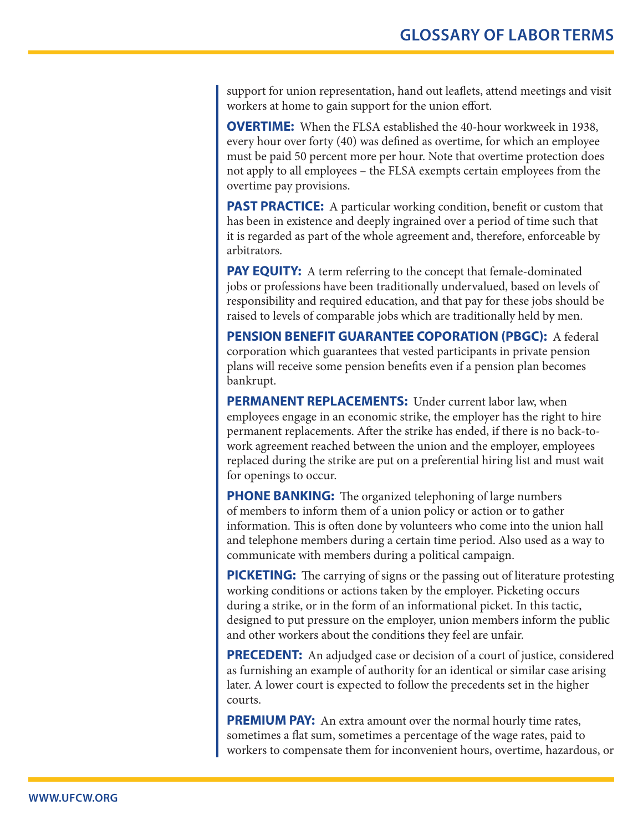support for union representation, hand out leaflets, attend meetings and visit workers at home to gain support for the union effort.

**OVERTIME:** When the FLSA established the 40-hour workweek in 1938, every hour over forty (40) was defined as overtime, for which an employee must be paid 50 percent more per hour. Note that overtime protection does not apply to all employees – the FLSA exempts certain employees from the overtime pay provisions.

**PAST PRACTICE:** A particular working condition, benefit or custom that has been in existence and deeply ingrained over a period of time such that it is regarded as part of the whole agreement and, therefore, enforceable by arbitrators.

**PAY EQUITY:** A term referring to the concept that female-dominated jobs or professions have been traditionally undervalued, based on levels of responsibility and required education, and that pay for these jobs should be raised to levels of comparable jobs which are traditionally held by men.

**PENSION BENEFIT GUARANTEE COPORATION (PBGC):** A federal corporation which guarantees that vested participants in private pension plans will receive some pension benefits even if a pension plan becomes bankrupt.

**PERMANENT REPLACEMENTS:** Under current labor law, when employees engage in an economic strike, the employer has the right to hire permanent replacements. After the strike has ended, if there is no back-towork agreement reached between the union and the employer, employees replaced during the strike are put on a preferential hiring list and must wait for openings to occur.

**PHONE BANKING:** The organized telephoning of large numbers of members to inform them of a union policy or action or to gather information. This is often done by volunteers who come into the union hall and telephone members during a certain time period. Also used as a way to communicate with members during a political campaign.

**PICKETING:** The carrying of signs or the passing out of literature protesting working conditions or actions taken by the employer. Picketing occurs during a strike, or in the form of an informational picket. In this tactic, designed to put pressure on the employer, union members inform the public and other workers about the conditions they feel are unfair.

**PRECEDENT:** An adjudged case or decision of a court of justice, considered as furnishing an example of authority for an identical or similar case arising later. A lower court is expected to follow the precedents set in the higher courts.

**PREMIUM PAY:** An extra amount over the normal hourly time rates, sometimes a flat sum, sometimes a percentage of the wage rates, paid to workers to compensate them for inconvenient hours, overtime, hazardous, or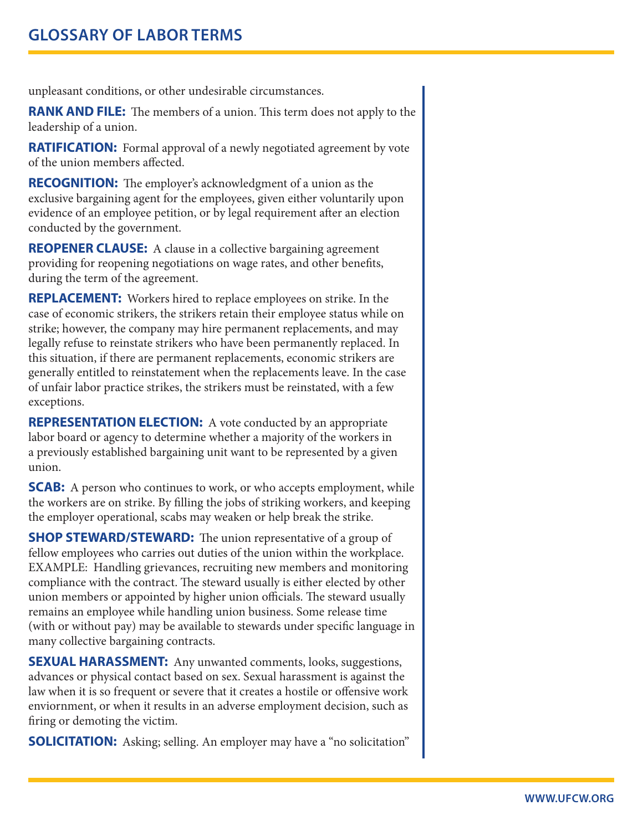unpleasant conditions, or other undesirable circumstances.

**RANK AND FILE:** The members of a union. This term does not apply to the leadership of a union.

**RATIFICATION:** Formal approval of a newly negotiated agreement by vote of the union members affected.

**RECOGNITION:** The employer's acknowledgment of a union as the exclusive bargaining agent for the employees, given either voluntarily upon evidence of an employee petition, or by legal requirement after an election conducted by the government.

**REOPENER CLAUSE:** A clause in a collective bargaining agreement providing for reopening negotiations on wage rates, and other benefits, during the term of the agreement.

**REPLACEMENT:** Workers hired to replace employees on strike. In the case of economic strikers, the strikers retain their employee status while on strike; however, the company may hire permanent replacements, and may legally refuse to reinstate strikers who have been permanently replaced. In this situation, if there are permanent replacements, economic strikers are generally entitled to reinstatement when the replacements leave. In the case of unfair labor practice strikes, the strikers must be reinstated, with a few exceptions.

**REPRESENTATION ELECTION:** A vote conducted by an appropriate labor board or agency to determine whether a majority of the workers in a previously established bargaining unit want to be represented by a given union.

**SCAB:** A person who continues to work, or who accepts employment, while the workers are on strike. By filling the jobs of striking workers, and keeping the employer operational, scabs may weaken or help break the strike.

**SHOP STEWARD/STEWARD:** The union representative of a group of fellow employees who carries out duties of the union within the workplace. EXAMPLE: Handling grievances, recruiting new members and monitoring compliance with the contract. The steward usually is either elected by other union members or appointed by higher union officials. The steward usually remains an employee while handling union business. Some release time (with or without pay) may be available to stewards under specific language in many collective bargaining contracts.

**SEXUAL HARASSMENT:** Any unwanted comments, looks, suggestions, advances or physical contact based on sex. Sexual harassment is against the law when it is so frequent or severe that it creates a hostile or offensive work enviornment, or when it results in an adverse employment decision, such as firing or demoting the victim.

**SOLICITATION:** Asking; selling. An employer may have a "no solicitation"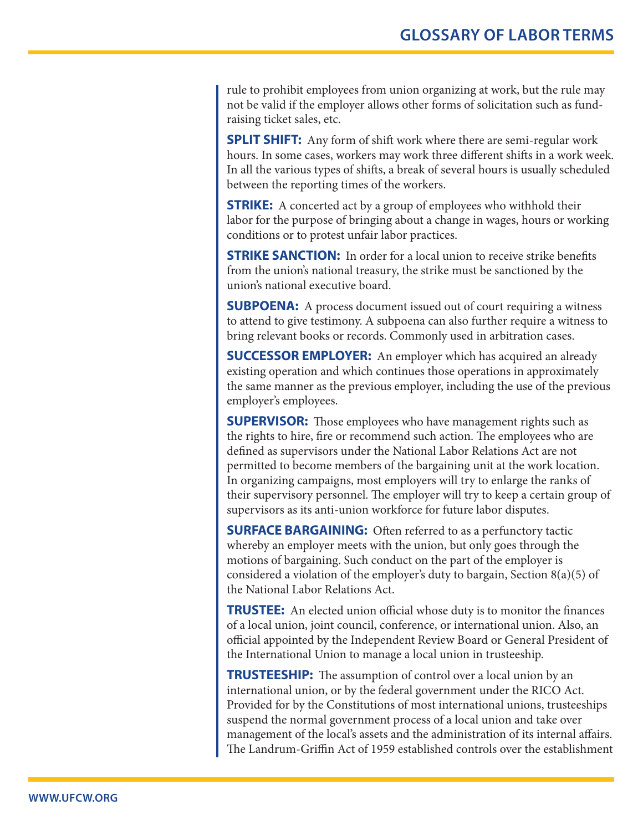rule to prohibit employees from union organizing at work, but the rule may not be valid if the employer allows other forms of solicitation such as fundraising ticket sales, etc.

**SPLIT SHIFT:** Any form of shift work where there are semi-regular work hours. In some cases, workers may work three different shifts in a work week. In all the various types of shifts, a break of several hours is usually scheduled between the reporting times of the workers.

**STRIKE:** A concerted act by a group of employees who withhold their labor for the purpose of bringing about a change in wages, hours or working conditions or to protest unfair labor practices.

**STRIKE SANCTION:** In order for a local union to receive strike benefits from the union's national treasury, the strike must be sanctioned by the union's national executive board.

**SUBPOENA:** A process document issued out of court requiring a witness to attend to give testimony. A subpoena can also further require a witness to bring relevant books or records. Commonly used in arbitration cases.

**SUCCESSOR EMPLOYER:** An employer which has acquired an already existing operation and which continues those operations in approximately the same manner as the previous employer, including the use of the previous employer's employees.

**SUPERVISOR:** Those employees who have management rights such as the rights to hire, fire or recommend such action. The employees who are defined as supervisors under the National Labor Relations Act are not permitted to become members of the bargaining unit at the work location. In organizing campaigns, most employers will try to enlarge the ranks of their supervisory personnel. The employer will try to keep a certain group of supervisors as its anti-union workforce for future labor disputes.

**SURFACE BARGAINING:** Often referred to as a perfunctory tactic whereby an employer meets with the union, but only goes through the motions of bargaining. Such conduct on the part of the employer is considered a violation of the employer's duty to bargain, Section  $8(a)(5)$  of the National Labor Relations Act.

**TRUSTEE:** An elected union official whose duty is to monitor the finances of a local union, joint council, conference, or international union. Also, an official appointed by the Independent Review Board or General President of the International Union to manage a local union in trusteeship.

**TRUSTEESHIP:** The assumption of control over a local union by an international union, or by the federal government under the RICO Act. Provided for by the Constitutions of most international unions, trusteeships suspend the normal government process of a local union and take over management of the local's assets and the administration of its internal affairs. The Landrum-Griffin Act of 1959 established controls over the establishment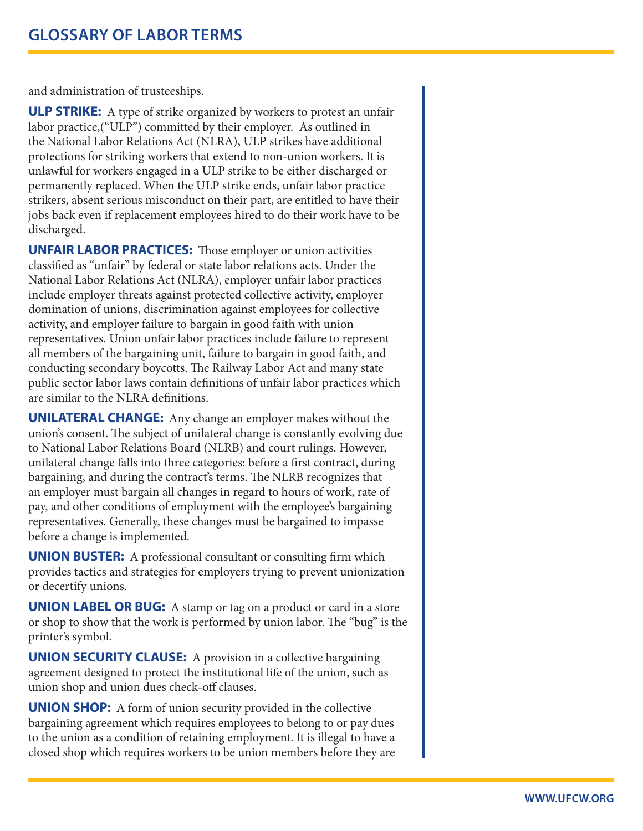and administration of trusteeships.

**ULP STRIKE:** A type of strike organized by workers to protest an unfair labor practice,("ULP") committed by their employer. As outlined in the National Labor Relations Act (NLRA), ULP strikes have additional protections for striking workers that extend to non-union workers. It is unlawful for workers engaged in a ULP strike to be either discharged or permanently replaced. When the ULP strike ends, unfair labor practice strikers, absent serious misconduct on their part, are entitled to have their jobs back even if replacement employees hired to do their work have to be discharged.

**UNFAIR LABOR PRACTICES:** Those employer or union activities classified as "unfair" by federal or state labor relations acts. Under the National Labor Relations Act (NLRA), employer unfair labor practices include employer threats against protected collective activity, employer domination of unions, discrimination against employees for collective activity, and employer failure to bargain in good faith with union representatives. Union unfair labor practices include failure to represent all members of the bargaining unit, failure to bargain in good faith, and conducting secondary boycotts. The Railway Labor Act and many state public sector labor laws contain definitions of unfair labor practices which are similar to the NLRA definitions.

**UNILATERAL CHANGE:** Any change an employer makes without the union's consent. The subject of unilateral change is constantly evolving due to National Labor Relations Board (NLRB) and court rulings. However, unilateral change falls into three categories: before a first contract, during bargaining, and during the contract's terms. The NLRB recognizes that an employer must bargain all changes in regard to hours of work, rate of pay, and other conditions of employment with the employee's bargaining representatives. Generally, these changes must be bargained to impasse before a change is implemented.

**UNION BUSTER:** A professional consultant or consulting firm which provides tactics and strategies for employers trying to prevent unionization or decertify unions.

**UNION LABEL OR BUG:** A stamp or tag on a product or card in a store or shop to show that the work is performed by union labor. The "bug" is the printer's symbol.

**UNION SECURITY CLAUSE:** A provision in a collective bargaining agreement designed to protect the institutional life of the union, such as union shop and union dues check-off clauses.

**UNION SHOP:** A form of union security provided in the collective bargaining agreement which requires employees to belong to or pay dues to the union as a condition of retaining employment. It is illegal to have a closed shop which requires workers to be union members before they are